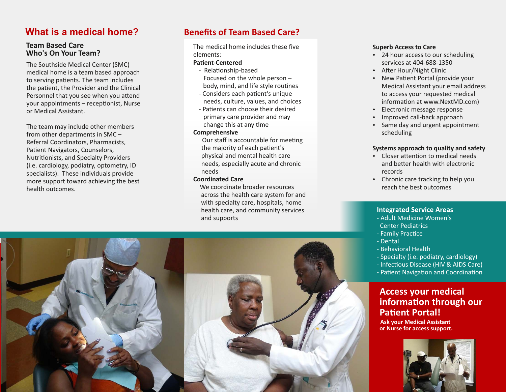## **What is a medical home?**

#### **Team Based Care Who's On Your Team?**

The Southside Medical Center (SMC) medical home is a team based approach to serving patients. The team includes the patient, the Provider and the Clinical Personnel that you see when you attend your appointments  $-$  receptionist, Nurse or Medical Assistant.

The team may include other members from other departments in SMC – Referral Coordinators, Pharmacists, Patient Navigators, Counselors, Nutrionists, and Specialty Providers (i.e. cardiology, podiatry, optometry, ID specialists). These individuals provide more support toward achieving the best health outcomes.

### **Benefits of Team Based Care?**

The medical home includes these five elements:

#### **Patient-Centered**

- Relationship-based Focused on the whole person – body, mind, and life style routines
- Considers each patient's unique needs, culture, values, and choices
- Patients can choose their desired primary care provider and may change this at any time

#### **Comprehensive**

Our staff is accountable for meeting the majority of each patient's physical and mental health care needs, especially acute and chronic needs

#### **Coordinated Care**

We coordinate broader resources across the health care system for and with specialty care, hospitals, home health care, and community services and supports

#### **Superb Access to Care**

- 24 hour access to our scheduling services at 404-688-1350
- After Hour/Night Clinic
- New Patient Portal (provide your Medical Assistant your email address to access your requested medical information at www.NextMD.com)
- Electronic message response
- Improved call-back approach
- Same day and urgent appointment scheduling

#### **Systems approach to quality and safety**

- $\cdot$  Closer attention to medical needs and better health with electronic records
- Chronic care tracking to help you reach the best outcomes

#### **Integrated Service Areas**

- Adult Medicine Women's Center Pediatrics
- Family Practice
- Dental
- Behavioral Health
- Specialty (i.e. podiatry, cardiology)
- Infectious Disease (HIV & AIDS Care)
- Patient Navigation and Coordination

### **Access your medical information through our Patient Portal!**

**Ask your Medical Assistant or Nurse for access support.**